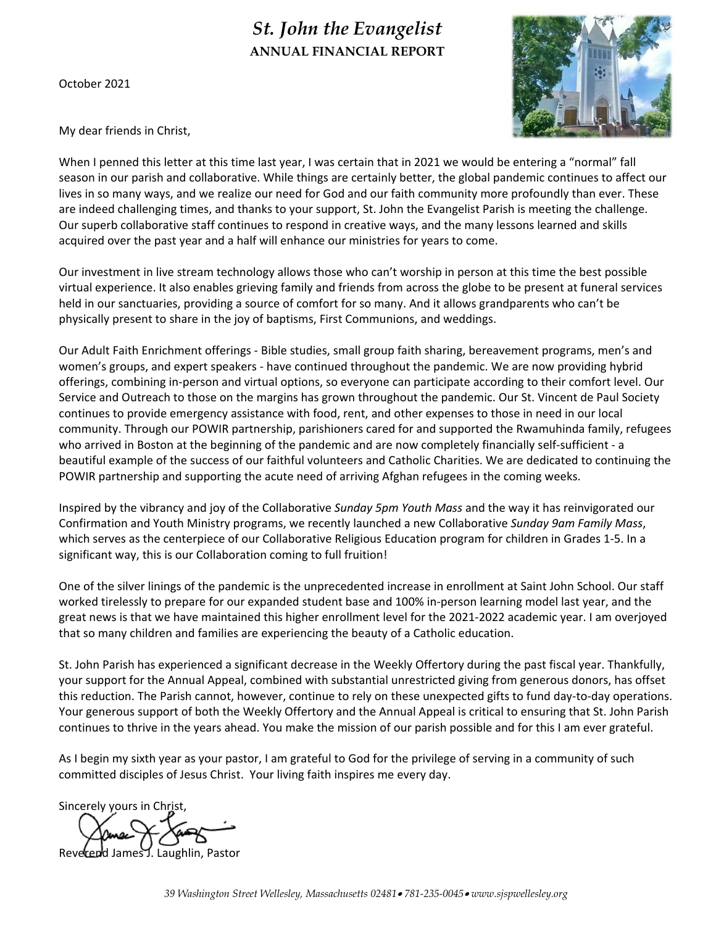# *St. John the Evangelist*  **ANNUAL FINANCIAL REPORT**

October 2021



My dear friends in Christ,

When I penned this letter at this time last year, I was certain that in 2021 we would be entering a "normal" fall season in our parish and collaborative. While things are certainly better, the global pandemic continues to affect our lives in so many ways, and we realize our need for God and our faith community more profoundly than ever. These are indeed challenging times, and thanks to your support, St. John the Evangelist Parish is meeting the challenge. Our superb collaborative staff continues to respond in creative ways, and the many lessons learned and skills acquired over the past year and a half will enhance our ministries for years to come.

Our investment in live stream technology allows those who can't worship in person at this time the best possible virtual experience. It also enables grieving family and friends from across the globe to be present at funeral services held in our sanctuaries, providing a source of comfort for so many. And it allows grandparents who can't be physically present to share in the joy of baptisms, First Communions, and weddings.

Our Adult Faith Enrichment offerings ‐ Bible studies, small group faith sharing, bereavement programs, men's and women's groups, and expert speakers - have continued throughout the pandemic. We are now providing hybrid offerings, combining in‐person and virtual options, so everyone can participate according to their comfort level. Our Service and Outreach to those on the margins has grown throughout the pandemic. Our St. Vincent de Paul Society continues to provide emergency assistance with food, rent, and other expenses to those in need in our local community. Through our POWIR partnership, parishioners cared for and supported the Rwamuhinda family, refugees who arrived in Boston at the beginning of the pandemic and are now completely financially self-sufficient - a beautiful example of the success of our faithful volunteers and Catholic Charities. We are dedicated to continuing the POWIR partnership and supporting the acute need of arriving Afghan refugees in the coming weeks.

Inspired by the vibrancy and joy of the Collaborative *Sunday 5pm Youth Mass* and the way it has reinvigorated our Confirmation and Youth Ministry programs, we recently launched a new Collaborative *Sunday 9am Family Mass*, which serves as the centerpiece of our Collaborative Religious Education program for children in Grades 1‐5. In a significant way, this is our Collaboration coming to full fruition!

One of the silver linings of the pandemic is the unprecedented increase in enrollment at Saint John School. Our staff worked tirelessly to prepare for our expanded student base and 100% in‐person learning model last year, and the great news is that we have maintained this higher enrollment level for the 2021‐2022 academic year. I am overjoyed that so many children and families are experiencing the beauty of a Catholic education.

St. John Parish has experienced a significant decrease in the Weekly Offertory during the past fiscal year. Thankfully, your support for the Annual Appeal, combined with substantial unrestricted giving from generous donors, has offset this reduction. The Parish cannot, however, continue to rely on these unexpected gifts to fund day‐to‐day operations. Your generous support of both the Weekly Offertory and the Annual Appeal is critical to ensuring that St. John Parish continues to thrive in the years ahead. You make the mission of our parish possible and for this I am ever grateful.

As I begin my sixth year as your pastor, I am grateful to God for the privilege of serving in a community of such committed disciples of Jesus Christ. Your living faith inspires me every day.

Sincerely yours in Christ,

James J. Laughlin, Pastor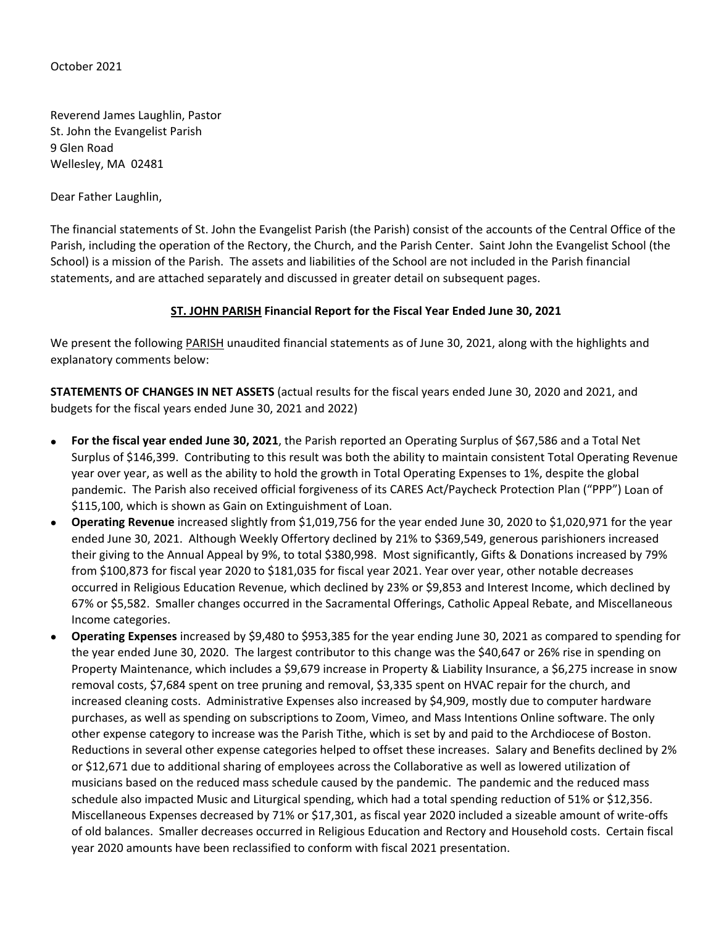October 2021

Reverend James Laughlin, Pastor St. John the Evangelist Parish 9 Glen Road Wellesley, MA 02481

Dear Father Laughlin,

The financial statements of St. John the Evangelist Parish (the Parish) consist of the accounts of the Central Office of the Parish, including the operation of the Rectory, the Church, and the Parish Center. Saint John the Evangelist School (the School) is a mission of the Parish. The assets and liabilities of the School are not included in the Parish financial statements, and are attached separately and discussed in greater detail on subsequent pages.

### **ST. JOHN PARISH Financial Report for the Fiscal Year Ended June 30, 2021**

We present the following PARISH unaudited financial statements as of June 30, 2021, along with the highlights and explanatory comments below:

**STATEMENTS OF CHANGES IN NET ASSETS** (actual results for the fiscal years ended June 30, 2020 and 2021, and budgets for the fiscal years ended June 30, 2021 and 2022)

- **For the fiscal year ended June 30, 2021**, the Parish reported an Operating Surplus of \$67,586 and a Total Net Surplus of \$146,399. Contributing to this result was both the ability to maintain consistent Total Operating Revenue year over year, as well as the ability to hold the growth in Total Operating Expenses to 1%, despite the global pandemic. The Parish also received official forgiveness of its CARES Act/Paycheck Protection Plan ("PPP") Loan of \$115,100, which is shown as Gain on Extinguishment of Loan.
- **Operating Revenue** increased slightly from \$1,019,756 for the year ended June 30, 2020 to \$1,020,971 for the year ended June 30, 2021. Although Weekly Offertory declined by 21% to \$369,549, generous parishioners increased their giving to the Annual Appeal by 9%, to total \$380,998. Most significantly, Gifts & Donations increased by 79% from \$100,873 for fiscal year 2020 to \$181,035 for fiscal year 2021. Year over year, other notable decreases occurred in Religious Education Revenue, which declined by 23% or \$9,853 and Interest Income, which declined by 67% or \$5,582. Smaller changes occurred in the Sacramental Offerings, Catholic Appeal Rebate, and Miscellaneous Income categories.
- **Operating Expenses** increased by \$9,480 to \$953,385 for the year ending June 30, 2021 as compared to spending for the year ended June 30, 2020. The largest contributor to this change was the \$40,647 or 26% rise in spending on Property Maintenance, which includes a \$9,679 increase in Property & Liability Insurance, a \$6,275 increase in snow removal costs, \$7,684 spent on tree pruning and removal, \$3,335 spent on HVAC repair for the church, and increased cleaning costs. Administrative Expenses also increased by \$4,909, mostly due to computer hardware purchases, as well as spending on subscriptions to Zoom, Vimeo, and Mass Intentions Online software. The only other expense category to increase was the Parish Tithe, which is set by and paid to the Archdiocese of Boston. Reductions in several other expense categories helped to offset these increases. Salary and Benefits declined by 2% or \$12,671 due to additional sharing of employees across the Collaborative as well as lowered utilization of musicians based on the reduced mass schedule caused by the pandemic. The pandemic and the reduced mass schedule also impacted Music and Liturgical spending, which had a total spending reduction of 51% or \$12,356. Miscellaneous Expenses decreased by 71% or \$17,301, as fiscal year 2020 included a sizeable amount of write‐offs of old balances. Smaller decreases occurred in Religious Education and Rectory and Household costs. Certain fiscal year 2020 amounts have been reclassified to conform with fiscal 2021 presentation.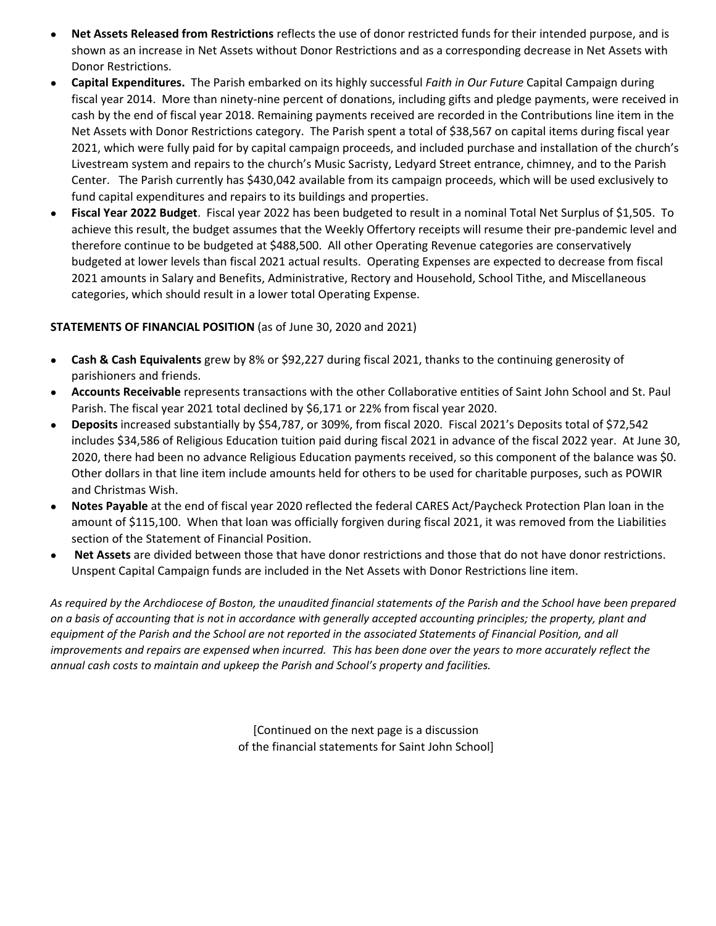- **Net Assets Released from Restrictions** reflects the use of donor restricted funds for their intended purpose, and is shown as an increase in Net Assets without Donor Restrictions and as a corresponding decrease in Net Assets with Donor Restrictions.
- **Capital Expenditures.** The Parish embarked on its highly successful *Faith in Our Future* Capital Campaign during fiscal year 2014. More than ninety-nine percent of donations, including gifts and pledge payments, were received in cash by the end of fiscal year 2018. Remaining payments received are recorded in the Contributions line item in the Net Assets with Donor Restrictions category. The Parish spent a total of \$38,567 on capital items during fiscal year 2021, which were fully paid for by capital campaign proceeds, and included purchase and installation of the church's Livestream system and repairs to the church's Music Sacristy, Ledyard Street entrance, chimney, and to the Parish Center. The Parish currently has \$430,042 available from its campaign proceeds, which will be used exclusively to fund capital expenditures and repairs to its buildings and properties.
- **Fiscal Year 2022 Budget**. Fiscal year 2022 has been budgeted to result in a nominal Total Net Surplus of \$1,505. To achieve this result, the budget assumes that the Weekly Offertory receipts will resume their pre‐pandemic level and therefore continue to be budgeted at \$488,500. All other Operating Revenue categories are conservatively budgeted at lower levels than fiscal 2021 actual results. Operating Expenses are expected to decrease from fiscal 2021 amounts in Salary and Benefits, Administrative, Rectory and Household, School Tithe, and Miscellaneous categories, which should result in a lower total Operating Expense.

# **STATEMENTS OF FINANCIAL POSITION** (as of June 30, 2020 and 2021)

- **Cash & Cash Equivalents** grew by 8% or \$92,227 during fiscal 2021, thanks to the continuing generosity of parishioners and friends.
- **Accounts Receivable** represents transactions with the other Collaborative entities of Saint John School and St. Paul Parish. The fiscal year 2021 total declined by \$6,171 or 22% from fiscal year 2020.
- **Deposits** increased substantially by \$54,787, or 309%, from fiscal 2020. Fiscal 2021's Deposits total of \$72,542 includes \$34,586 of Religious Education tuition paid during fiscal 2021 in advance of the fiscal 2022 year. At June 30, 2020, there had been no advance Religious Education payments received, so this component of the balance was \$0. Other dollars in that line item include amounts held for others to be used for charitable purposes, such as POWIR and Christmas Wish.
- **Notes Payable** at the end of fiscal year 2020 reflected the federal CARES Act/Paycheck Protection Plan loan in the amount of \$115,100. When that loan was officially forgiven during fiscal 2021, it was removed from the Liabilities section of the Statement of Financial Position.
- **Net Assets** are divided between those that have donor restrictions and those that do not have donor restrictions. Unspent Capital Campaign funds are included in the Net Assets with Donor Restrictions line item.

*As required by the Archdiocese of Boston, the unaudited financial statements of the Parish and the School have been prepared on a basis of accounting that is not in accordance with generally accepted accounting principles; the property, plant and equipment of the Parish and the School are not reported in the associated Statements of Financial Position, and all improvements and repairs are expensed when incurred. This has been done over the years to more accurately reflect the annual cash costs to maintain and upkeep the Parish and School's property and facilities.* 

> [Continued on the next page is a discussion of the financial statements for Saint John School]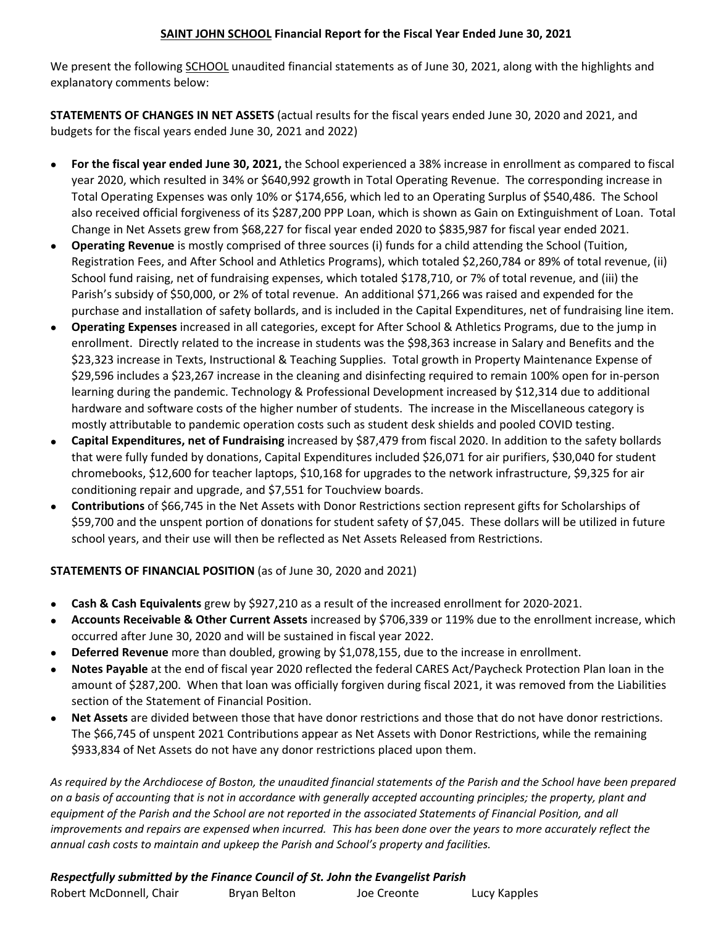# **SAINT JOHN SCHOOL Financial Report for the Fiscal Year Ended June 30, 2021**

We present the following SCHOOL unaudited financial statements as of June 30, 2021, along with the highlights and explanatory comments below:

**STATEMENTS OF CHANGES IN NET ASSETS** (actual results for the fiscal years ended June 30, 2020 and 2021, and budgets for the fiscal years ended June 30, 2021 and 2022)

- **For the fiscal year ended June 30, 2021,** the School experienced a 38% increase in enrollment as compared to fiscal year 2020, which resulted in 34% or \$640,992 growth in Total Operating Revenue. The corresponding increase in Total Operating Expenses was only 10% or \$174,656, which led to an Operating Surplus of \$540,486. The School also received official forgiveness of its \$287,200 PPP Loan, which is shown as Gain on Extinguishment of Loan. Total Change in Net Assets grew from \$68,227 for fiscal year ended 2020 to \$835,987 for fiscal year ended 2021.
- **Operating Revenue** is mostly comprised of three sources (i) funds for a child attending the School (Tuition, Registration Fees, and After School and Athletics Programs), which totaled \$2,260,784 or 89% of total revenue, (ii) School fund raising, net of fundraising expenses, which totaled \$178,710, or 7% of total revenue, and (iii) the Parish's subsidy of \$50,000, or 2% of total revenue. An additional \$71,266 was raised and expended for the purchase and installation of safety bollards, and is included in the Capital Expenditures, net of fundraising line item.
- **Operating Expenses** increased in all categories, except for After School & Athletics Programs, due to the jump in enrollment. Directly related to the increase in students was the \$98,363 increase in Salary and Benefits and the \$23,323 increase in Texts, Instructional & Teaching Supplies. Total growth in Property Maintenance Expense of \$29,596 includes a \$23,267 increase in the cleaning and disinfecting required to remain 100% open for in‐person learning during the pandemic. Technology & Professional Development increased by \$12,314 due to additional hardware and software costs of the higher number of students. The increase in the Miscellaneous category is mostly attributable to pandemic operation costs such as student desk shields and pooled COVID testing.
- **Capital Expenditures, net of Fundraising** increased by \$87,479 from fiscal 2020. In addition to the safety bollards that were fully funded by donations, Capital Expenditures included \$26,071 for air purifiers, \$30,040 for student chromebooks, \$12,600 for teacher laptops, \$10,168 for upgrades to the network infrastructure, \$9,325 for air conditioning repair and upgrade, and \$7,551 for Touchview boards.
- **Contributions** of \$66,745 in the Net Assets with Donor Restrictions section represent gifts for Scholarships of \$59,700 and the unspent portion of donations for student safety of \$7,045. These dollars will be utilized in future school years, and their use will then be reflected as Net Assets Released from Restrictions.

# **STATEMENTS OF FINANCIAL POSITION** (as of June 30, 2020 and 2021)

- **Cash & Cash Equivalents** grew by \$927,210 as a result of the increased enrollment for 2020‐2021.
- **Accounts Receivable & Other Current Assets** increased by \$706,339 or 119% due to the enrollment increase, which occurred after June 30, 2020 and will be sustained in fiscal year 2022.
- **Deferred Revenue** more than doubled, growing by \$1,078,155, due to the increase in enrollment.
- **Notes Payable** at the end of fiscal year 2020 reflected the federal CARES Act/Paycheck Protection Plan loan in the amount of \$287,200. When that loan was officially forgiven during fiscal 2021, it was removed from the Liabilities section of the Statement of Financial Position.
- **Net Assets** are divided between those that have donor restrictions and those that do not have donor restrictions. The \$66,745 of unspent 2021 Contributions appear as Net Assets with Donor Restrictions, while the remaining \$933,834 of Net Assets do not have any donor restrictions placed upon them.

*As required by the Archdiocese of Boston, the unaudited financial statements of the Parish and the School have been prepared on a basis of accounting that is not in accordance with generally accepted accounting principles; the property, plant and equipment of the Parish and the School are not reported in the associated Statements of Financial Position, and all improvements and repairs are expensed when incurred. This has been done over the years to more accurately reflect the* annual cash costs to maintain and upkeep the Parish and School's property and facilities.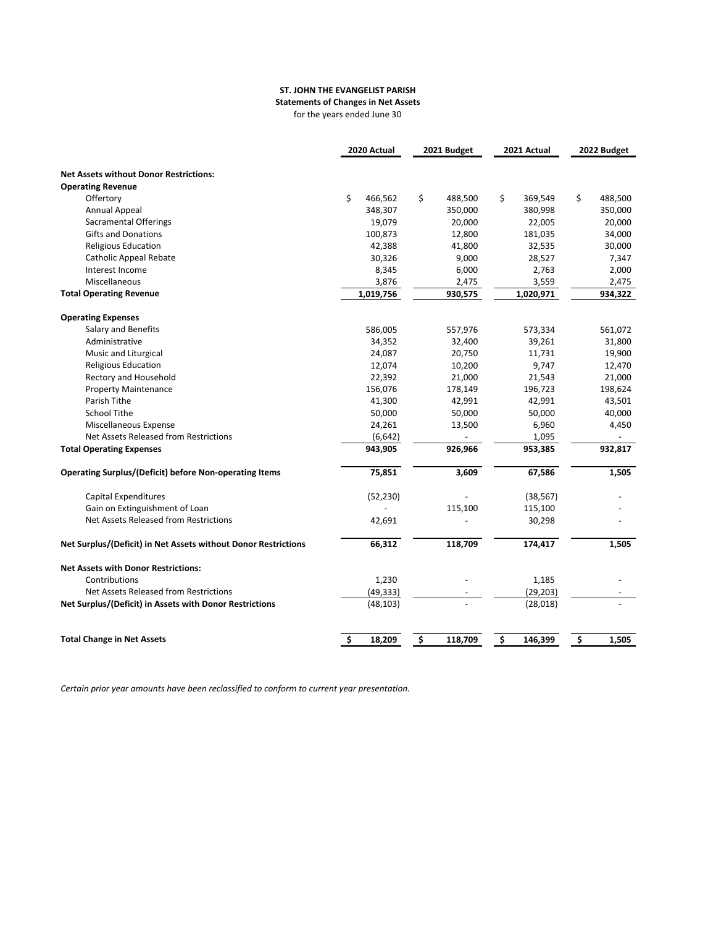#### **ST. JOHN THE EVANGELIST PARISH**

**Statements of Changes in Net Assets**

for the years ended June 30

|                                                                | 2020 Actual   | 2021 Budget   | 2021 Actual   | 2022 Budget   |
|----------------------------------------------------------------|---------------|---------------|---------------|---------------|
| <b>Net Assets without Donor Restrictions:</b>                  |               |               |               |               |
| <b>Operating Revenue</b>                                       |               |               |               |               |
| Offertory                                                      | \$<br>466,562 | \$<br>488,500 | \$<br>369,549 | \$<br>488,500 |
| <b>Annual Appeal</b>                                           | 348,307       | 350,000       | 380,998       | 350,000       |
| <b>Sacramental Offerings</b>                                   | 19,079        | 20,000        | 22,005        | 20,000        |
| <b>Gifts and Donations</b>                                     | 100,873       | 12,800        | 181,035       | 34,000        |
| Religious Education                                            | 42,388        | 41,800        | 32,535        | 30,000        |
| <b>Catholic Appeal Rebate</b>                                  | 30,326        | 9,000         | 28,527        | 7,347         |
| Interest Income                                                | 8,345         | 6,000         | 2,763         | 2,000         |
| Miscellaneous                                                  | 3,876         | 2,475         | 3,559         | 2,475         |
| <b>Total Operating Revenue</b>                                 | 1,019,756     | 930,575       | 1,020,971     | 934,322       |
| <b>Operating Expenses</b>                                      |               |               |               |               |
| <b>Salary and Benefits</b>                                     | 586,005       | 557,976       | 573,334       | 561,072       |
| Administrative                                                 | 34,352        | 32,400        | 39,261        | 31,800        |
| Music and Liturgical                                           | 24,087        | 20,750        | 11,731        | 19,900        |
| <b>Religious Education</b>                                     | 12,074        | 10,200        | 9,747         | 12,470        |
| Rectory and Household                                          | 22,392        | 21,000        | 21,543        | 21,000        |
| <b>Property Maintenance</b>                                    | 156,076       | 178,149       | 196,723       | 198,624       |
| Parish Tithe                                                   | 41,300        | 42,991        | 42,991        | 43,501        |
| <b>School Tithe</b>                                            | 50,000        | 50,000        | 50,000        | 40,000        |
| Miscellaneous Expense                                          | 24,261        | 13,500        | 6,960         | 4,450         |
| Net Assets Released from Restrictions                          | (6, 642)      |               | 1,095         |               |
| <b>Total Operating Expenses</b>                                | 943,905       | 926,966       | 953,385       | 932,817       |
| <b>Operating Surplus/(Deficit) before Non-operating Items</b>  | 75,851        | 3,609         | 67,586        | 1,505         |
|                                                                |               |               |               |               |
| <b>Capital Expenditures</b>                                    | (52, 230)     |               | (38, 567)     |               |
| Gain on Extinguishment of Loan                                 |               | 115,100       | 115,100       |               |
| Net Assets Released from Restrictions                          | 42,691        |               | 30,298        |               |
| Net Surplus/(Deficit) in Net Assets without Donor Restrictions | 66,312        | 118,709       | 174,417       | 1,505         |
| <b>Net Assets with Donor Restrictions:</b>                     |               |               |               |               |
| Contributions                                                  | 1,230         |               | 1,185         |               |
| Net Assets Released from Restrictions                          | (49, 333)     |               | (29, 203)     |               |
| Net Surplus/(Deficit) in Assets with Donor Restrictions        | (48, 103)     |               | (28, 018)     |               |
|                                                                |               |               |               |               |
| <b>Total Change in Net Assets</b>                              | \$<br>18,209  | \$<br>118,709 | \$<br>146,399 | \$<br>1,505   |

*Certain prior year amounts have been reclassified to conform to current year presentation.*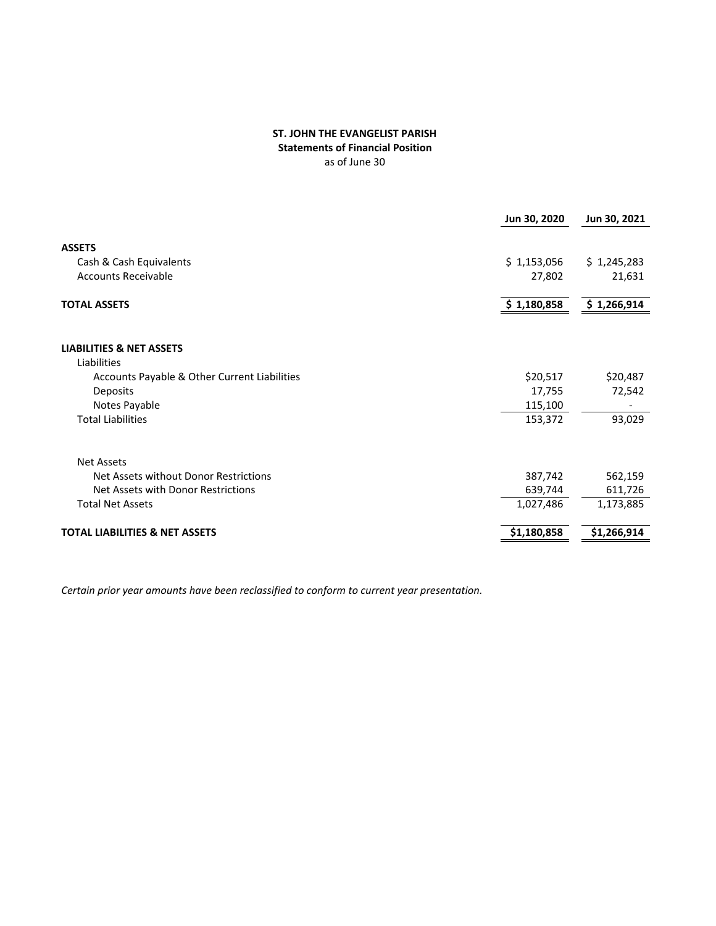#### **ST. JOHN THE EVANGELIST PARISH Statements of Financial Position** as of June 30

|                                              | Jun 30, 2020 | Jun 30, 2021 |
|----------------------------------------------|--------------|--------------|
|                                              |              |              |
| <b>ASSETS</b>                                |              |              |
| Cash & Cash Equivalents                      | \$1,153,056  | \$1,245,283  |
| <b>Accounts Receivable</b>                   | 27,802       | 21,631       |
| <b>TOTAL ASSETS</b>                          | \$1,180,858  | \$1,266,914  |
|                                              |              |              |
| <b>LIABILITIES &amp; NET ASSETS</b>          |              |              |
| Liabilities                                  |              |              |
| Accounts Payable & Other Current Liabilities | \$20,517     | \$20,487     |
| Deposits                                     | 17,755       | 72,542       |
| Notes Payable                                | 115,100      |              |
| <b>Total Liabilities</b>                     | 153,372      | 93,029       |
| Net Assets                                   |              |              |
| Net Assets without Donor Restrictions        | 387,742      | 562,159      |
| Net Assets with Donor Restrictions           | 639,744      | 611,726      |
| <b>Total Net Assets</b>                      | 1,027,486    | 1,173,885    |
|                                              |              |              |
| <b>TOTAL LIABILITIES &amp; NET ASSETS</b>    | \$1,180,858  | \$1,266,914  |
|                                              |              |              |

*Certain prior year amounts have been reclassified to conform to current year presentation.*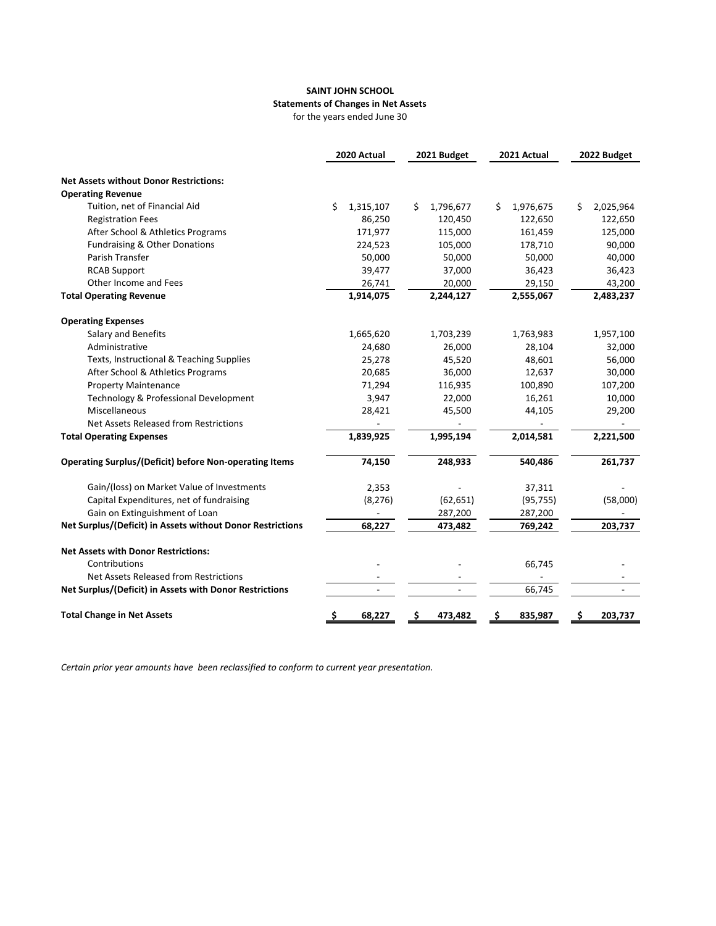#### **SAINT JOHN SCHOOL Statements of Changes in Net Assets** for the years ended June 30

|                                                               | 2020 Actual     | 2021 Budget     | 2021 Actual     | 2022 Budget     |
|---------------------------------------------------------------|-----------------|-----------------|-----------------|-----------------|
| <b>Net Assets without Donor Restrictions:</b>                 |                 |                 |                 |                 |
| <b>Operating Revenue</b>                                      |                 |                 |                 |                 |
| Tuition, net of Financial Aid                                 | \$<br>1,315,107 | \$<br>1,796,677 | 1,976,675<br>\$ | 2,025,964<br>\$ |
| <b>Registration Fees</b>                                      | 86,250          | 120,450         | 122,650         | 122,650         |
| After School & Athletics Programs                             | 171,977         | 115,000         | 161,459         | 125,000         |
| Fundraising & Other Donations                                 | 224,523         | 105,000         | 178,710         | 90,000          |
| Parish Transfer                                               | 50,000          | 50,000          | 50,000          | 40,000          |
| <b>RCAB Support</b>                                           | 39,477          | 37,000          | 36,423          | 36,423          |
| Other Income and Fees                                         | 26,741          | 20,000          | 29,150          | 43,200          |
| <b>Total Operating Revenue</b>                                | 1,914,075       | 2,244,127       | 2,555,067       | 2,483,237       |
| <b>Operating Expenses</b>                                     |                 |                 |                 |                 |
| Salary and Benefits                                           | 1,665,620       | 1,703,239       | 1,763,983       | 1,957,100       |
| Administrative                                                | 24,680          | 26,000          | 28,104          | 32,000          |
| Texts, Instructional & Teaching Supplies                      | 25,278          | 45,520          | 48,601          | 56,000          |
| After School & Athletics Programs                             | 20,685          | 36,000          | 12,637          | 30,000          |
| <b>Property Maintenance</b>                                   | 71,294          | 116,935         | 100,890         | 107,200         |
| Technology & Professional Development                         | 3,947           | 22,000          | 16,261          | 10,000          |
| Miscellaneous                                                 | 28,421          | 45,500          | 44,105          | 29,200          |
| Net Assets Released from Restrictions                         |                 |                 |                 |                 |
| <b>Total Operating Expenses</b>                               | 1,839,925       | 1,995,194       | 2,014,581       | 2,221,500       |
| <b>Operating Surplus/(Deficit) before Non-operating Items</b> | 74,150          | 248,933         | 540,486         | 261,737         |
| Gain/(loss) on Market Value of Investments                    | 2,353           |                 | 37,311          |                 |
| Capital Expenditures, net of fundraising                      | (8, 276)        | (62, 651)       | (95, 755)       | (58,000)        |
| Gain on Extinguishment of Loan                                |                 | 287,200         | 287,200         |                 |
| Net Surplus/(Deficit) in Assets without Donor Restrictions    | 68,227          | 473,482         | 769,242         | 203,737         |
| <b>Net Assets with Donor Restrictions:</b>                    |                 |                 |                 |                 |
| Contributions                                                 |                 |                 | 66,745          |                 |
| Net Assets Released from Restrictions                         |                 |                 |                 |                 |
| Net Surplus/(Deficit) in Assets with Donor Restrictions       |                 |                 | 66,745          |                 |
| <b>Total Change in Net Assets</b>                             | \$<br>68,227    | \$<br>473,482   | \$<br>835,987   | \$<br>203,737   |

*Certain prior year amounts have been reclassified to conform to current year presentation.*